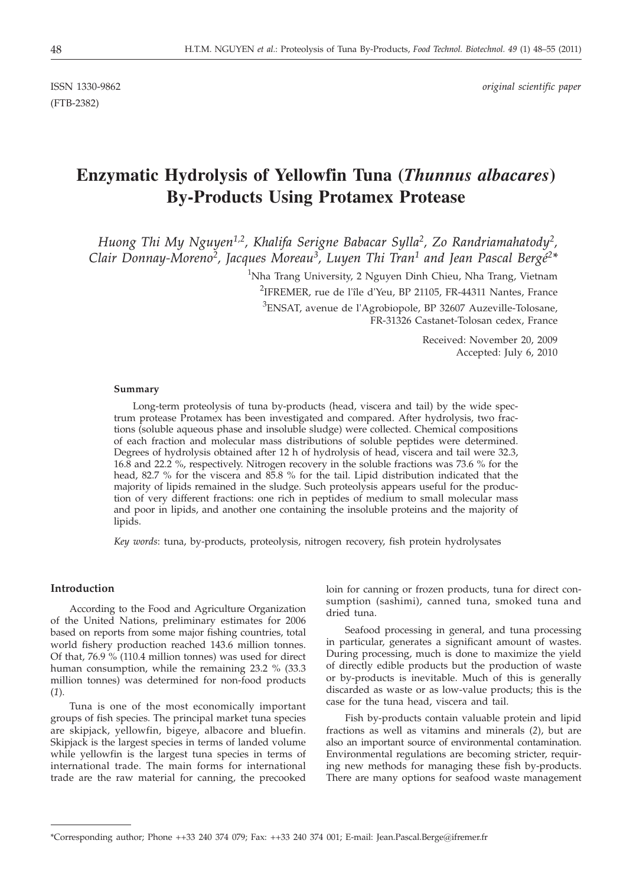(FTB-2382)

ISSN 1330-9862 *original scientific paper*

# **Enzymatic Hydrolysis of Yellowfin Tuna (***Thunnus albacares***) By-Products Using Protamex Protease**

*Huong Thi My Nguyen1,2, Khalifa Serigne Babacar Sylla2, Zo Randriamahatody2, Clair Donnay-Moreno2, Jacques Moreau3, Luyen Thi Tran1 and Jean Pascal Bergé2\**

> $^{1}$ Nha Trang University, 2 Nguyen Dinh Chieu, Nha Trang, Vietnam 2 IFREMER, rue de l'île d'Yeu, BP 21105, FR-44311 Nantes, France

 $^3$ ENSAT, avenue de l'Agrobiopole, BP 32607 Auzeville-Tolosane, FR-31326 Castanet-Tolosan cedex, France

> Received: November 20, 2009 Accepted: July 6, 2010

## **Summary**

Long-term proteolysis of tuna by-products (head, viscera and tail) by the wide spectrum protease Protamex has been investigated and compared. After hydrolysis, two fractions (soluble aqueous phase and insoluble sludge) were collected. Chemical compositions of each fraction and molecular mass distributions of soluble peptides were determined. Degrees of hydrolysis obtained after 12 h of hydrolysis of head, viscera and tail were 32.3, 16.8 and 22.2 %, respectively. Nitrogen recovery in the soluble fractions was 73.6 % for the head, 82.7 % for the viscera and 85.8 % for the tail. Lipid distribution indicated that the majority of lipids remained in the sludge. Such proteolysis appears useful for the production of very different fractions: one rich in peptides of medium to small molecular mass and poor in lipids, and another one containing the insoluble proteins and the majority of lipids.

*Key words*: tuna, by-products, proteolysis, nitrogen recovery, fish protein hydrolysates

# **Introduction**

According to the Food and Agriculture Organization of the United Nations, preliminary estimates for 2006 based on reports from some major fishing countries, total world fishery production reached 143.6 million tonnes. Of that, 76.9 % (110.4 million tonnes) was used for direct human consumption, while the remaining 23.2 % (33.3 million tonnes) was determined for non-food products (*1*).

Tuna is one of the most economically important groups of fish species. The principal market tuna species are skipjack, yellowfin, bigeye, albacore and bluefin. Skipjack is the largest species in terms of landed volume while yellowfin is the largest tuna species in terms of international trade. The main forms for international trade are the raw material for canning, the precooked loin for canning or frozen products, tuna for direct consumption (sashimi), canned tuna, smoked tuna and dried tuna.

Seafood processing in general, and tuna processing in particular, generates a significant amount of wastes. During processing, much is done to maximize the yield of directly edible products but the production of waste or by-products is inevitable. Much of this is generally discarded as waste or as low-value products; this is the case for the tuna head, viscera and tail.

Fish by-products contain valuable protein and lipid fractions as well as vitamins and minerals (*2*), but are also an important source of environmental contamination. Environmental regulations are becoming stricter, requiring new methods for managing these fish by-products. There are many options for seafood waste management

<sup>\*</sup>Corresponding author; Phone ++33 240 374 079; Fax: ++33 240 374 001; E-mail: Jean.Pascal.Berge@ifremer.fr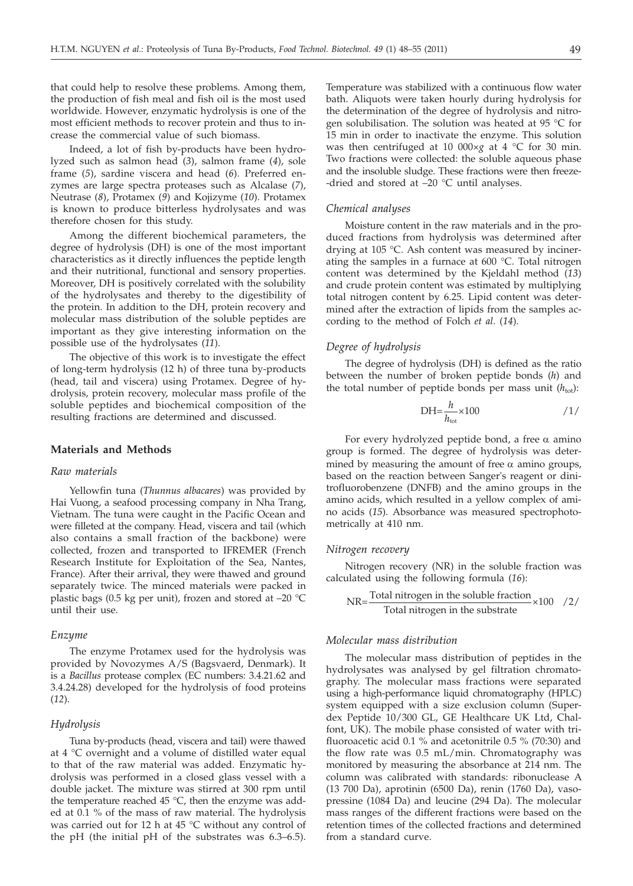that could help to resolve these problems. Among them, the production of fish meal and fish oil is the most used worldwide. However, enzymatic hydrolysis is one of the most efficient methods to recover protein and thus to increase the commercial value of such biomass.

Indeed, a lot of fish by-products have been hydrolyzed such as salmon head (*3*), salmon frame (*4*), sole frame (*5*), sardine viscera and head (*6*). Preferred enzymes are large spectra proteases such as Alcalase (*7*), Neutrase (*8*), Protamex (*9*) and Kojizyme (*10*). Protamex is known to produce bitterless hydrolysates and was therefore chosen for this study.

Among the different biochemical parameters, the degree of hydrolysis (DH) is one of the most important characteristics as it directly influences the peptide length and their nutritional, functional and sensory properties. Moreover, DH is positively correlated with the solubility of the hydrolysates and thereby to the digestibility of the protein. In addition to the DH, protein recovery and molecular mass distribution of the soluble peptides are important as they give interesting information on the possible use of the hydrolysates (*11*).

The objective of this work is to investigate the effect of long-term hydrolysis (12 h) of three tuna by-products (head, tail and viscera) using Protamex. Degree of hydrolysis, protein recovery, molecular mass profile of the soluble peptides and biochemical composition of the resulting fractions are determined and discussed.

# **Materials and Methods**

#### *Raw materials*

Yellowfin tuna (*Thunnus albacares*) was provided by Hai Vuong, a seafood processing company in Nha Trang, Vietnam. The tuna were caught in the Pacific Ocean and were filleted at the company. Head, viscera and tail (which also contains a small fraction of the backbone) were collected, frozen and transported to IFREMER (French Research Institute for Exploitation of the Sea, Nantes, France). After their arrival, they were thawed and ground separately twice. The minced materials were packed in plastic bags (0.5 kg per unit), frozen and stored at –20 °C until their use.

## *Enzyme*

The enzyme Protamex used for the hydrolysis was provided by Novozymes A/S (Bagsvaerd, Denmark). It is a *Bacillus* protease complex (EC numbers: 3.4.21.62 and 3.4.24.28) developed for the hydrolysis of food proteins (*12*).

## *Hydrolysis*

Tuna by-products (head, viscera and tail) were thawed at 4 °C overnight and a volume of distilled water equal to that of the raw material was added. Enzymatic hydrolysis was performed in a closed glass vessel with a double jacket. The mixture was stirred at 300 rpm until the temperature reached 45 °C, then the enzyme was added at 0.1 % of the mass of raw material. The hydrolysis was carried out for 12 h at 45 °C without any control of the pH (the initial pH of the substrates was 6.3–6.5).

Temperature was stabilized with a continuous flow water bath. Aliquots were taken hourly during hydrolysis for the determination of the degree of hydrolysis and nitrogen solubilisation. The solution was heated at 95 °C for 15 min in order to inactivate the enzyme. This solution was then centrifuged at 10 000×*g* at 4 °C for 30 min. Two fractions were collected: the soluble aqueous phase and the insoluble sludge. These fractions were then freeze- -dried and stored at –20 °C until analyses.

## *Chemical analyses*

Moisture content in the raw materials and in the produced fractions from hydrolysis was determined after drying at 105 °C. Ash content was measured by incinerating the samples in a furnace at 600 °C. Total nitrogen content was determined by the Kjeldahl method (*13*) and crude protein content was estimated by multiplying total nitrogen content by 6.25. Lipid content was determined after the extraction of lipids from the samples according to the method of Folch *et al*. (*14*).

## *Degree of hydrolysis*

The degree of hydrolysis (DH) is defined as the ratio between the number of broken peptide bonds (*h*) and the total number of peptide bonds per mass unit  $(h_{\text{tot}})$ :

$$
DH = \frac{h}{h_{\text{tot}}} \times 100 \tag{1}
$$

For every hydrolyzed peptide bond, a free  $\alpha$  amino group is formed. The degree of hydrolysis was determined by measuring the amount of free  $\alpha$  amino groups, based on the reaction between Sanger's reagent or dinitrofluorobenzene (DNFB) and the amino groups in the amino acids, which resulted in a yellow complex of amino acids (*15*). Absorbance was measured spectrophotometrically at 410 nm.

#### *Nitrogen recovery*

Nitrogen recovery (NR) in the soluble fraction was calculated using the following formula (*16*):

$$
NR = \frac{Total nitrogen in the soluble fraction}{Total nitrogen in the substrate} \times 100 / 2 /
$$

## *Molecular mass distribution*

The molecular mass distribution of peptides in the hydrolysates was analysed by gel filtration chromatography. The molecular mass fractions were separated using a high-performance liquid chromatography (HPLC) system equipped with a size exclusion column (Superdex Peptide 10/300 GL, GE Healthcare UK Ltd, Chalfont, UK). The mobile phase consisted of water with trifluoroacetic acid 0.1 % and acetonitrile 0.5 % (70:30) and the flow rate was 0.5 mL/min. Chromatography was monitored by measuring the absorbance at 214 nm. The column was calibrated with standards: ribonuclease A (13 700 Da), aprotinin (6500 Da), renin (1760 Da), vasopressine (1084 Da) and leucine (294 Da). The molecular mass ranges of the different fractions were based on the retention times of the collected fractions and determined from a standard curve.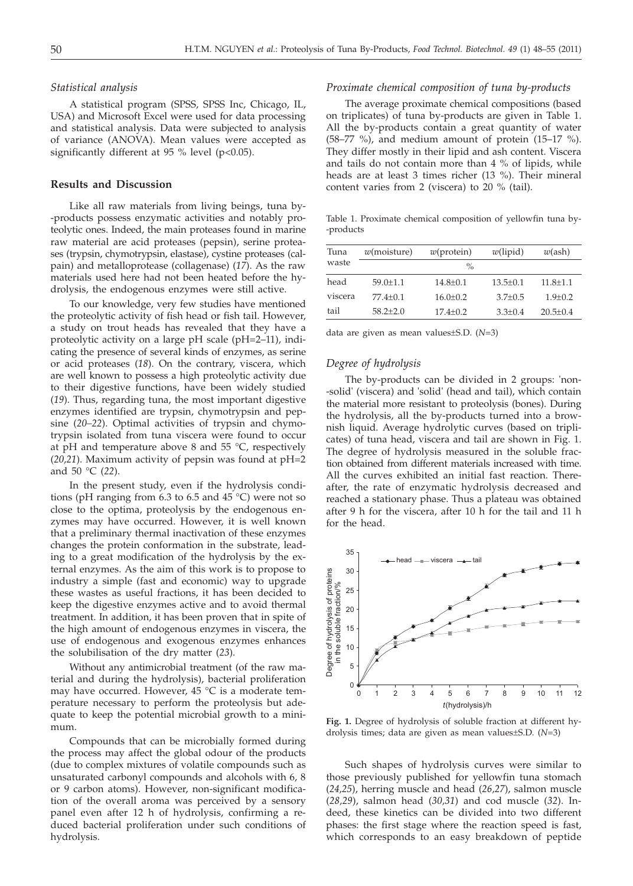## *Statistical analysis*

A statistical program (SPSS, SPSS Inc, Chicago, IL, USA) and Microsoft Excel were used for data processing and statistical analysis. Data were subjected to analysis of variance (ANOVA). Mean values were accepted as significantly different at 95 % level ( $p<0.05$ ).

# **Results and Discussion**

Like all raw materials from living beings, tuna by- -products possess enzymatic activities and notably proteolytic ones. Indeed, the main proteases found in marine raw material are acid proteases (pepsin), serine proteases (trypsin, chymotrypsin, elastase), cystine proteases (calpain) and metalloprotease (collagenase) (*17*). As the raw materials used here had not been heated before the hydrolysis, the endogenous enzymes were still active.

To our knowledge, very few studies have mentioned the proteolytic activity of fish head or fish tail. However, a study on trout heads has revealed that they have a proteolytic activity on a large pH scale (pH=2–11), indicating the presence of several kinds of enzymes, as serine or acid proteases (*18*). On the contrary, viscera, which are well known to possess a high proteolytic activity due to their digestive functions, have been widely studied (*19*). Thus, regarding tuna, the most important digestive enzymes identified are trypsin, chymotrypsin and pepsine (*20–22*). Optimal activities of trypsin and chymotrypsin isolated from tuna viscera were found to occur at pH and temperature above 8 and 55  $^{\circ}$ C, respectively (*20,21*). Maximum activity of pepsin was found at pH=2 and 50 °C (*22*).

In the present study, even if the hydrolysis conditions (pH ranging from 6.3 to 6.5 and 45 °C) were not so close to the optima, proteolysis by the endogenous enzymes may have occurred. However, it is well known that a preliminary thermal inactivation of these enzymes changes the protein conformation in the substrate, leading to a great modification of the hydrolysis by the external enzymes. As the aim of this work is to propose to industry a simple (fast and economic) way to upgrade these wastes as useful fractions, it has been decided to keep the digestive enzymes active and to avoid thermal treatment. In addition, it has been proven that in spite of the high amount of endogenous enzymes in viscera, the use of endogenous and exogenous enzymes enhances the solubilisation of the dry matter (*23*).

Without any antimicrobial treatment (of the raw material and during the hydrolysis), bacterial proliferation may have occurred. However, 45 °C is a moderate temperature necessary to perform the proteolysis but adequate to keep the potential microbial growth to a minimum.

Compounds that can be microbially formed during the process may affect the global odour of the products (due to complex mixtures of volatile compounds such as unsaturated carbonyl compounds and alcohols with 6, 8 or 9 carbon atoms). However, non-significant modification of the overall aroma was perceived by a sensory panel even after 12 h of hydrolysis, confirming a reduced bacterial proliferation under such conditions of hydrolysis.

# *Proximate chemical composition of tuna by-products*

The average proximate chemical compositions (based on triplicates) of tuna by-products are given in Table 1. All the by-products contain a great quantity of water (58–77 %), and medium amount of protein (15–17 %). They differ mostly in their lipid and ash content. Viscera and tails do not contain more than 4 % of lipids, while heads are at least 3 times richer (13 %). Their mineral content varies from 2 (viscera) to 20 % (tail).

Table 1. Proximate chemical composition of yellowfin tuna by- -products

| $w$ (moisture) | $w$ (protein) | $w$ (lipid)  | $w(\text{ash})$ |  |
|----------------|---------------|--------------|-----------------|--|
| $\%$           |               |              |                 |  |
| $59.0 + 1.1$   | $14.8 + 0.1$  | $13.5 + 0.1$ | $11.8 \pm 1.1$  |  |
| $77.4+0.1$     | $16.0 + 0.2$  | $3.7 + 0.5$  | $1.9 + 0.2$     |  |
| $58.2 + 2.0$   | $17.4 + 0.2$  | $3.3 + 0.4$  | $20.5 + 0.4$    |  |
|                |               |              |                 |  |

data are given as mean values±S.D. (*N*=3)

# *Degree of hydrolysis*

The by-products can be divided in 2 groups: 'non- -solid' (viscera) and 'solid' (head and tail), which contain the material more resistant to proteolysis (bones). During the hydrolysis, all the by-products turned into a brownish liquid. Average hydrolytic curves (based on triplicates) of tuna head, viscera and tail are shown in Fig. 1. The degree of hydrolysis measured in the soluble fraction obtained from different materials increased with time. All the curves exhibited an initial fast reaction. Thereafter, the rate of enzymatic hydrolysis decreased and reached a stationary phase. Thus a plateau was obtained after 9 h for the viscera, after 10 h for the tail and 11 h for the head.



**Fig. 1.** Degree of hydrolysis of soluble fraction at different hydrolysis times; data are given as mean values±S.D. (*N*=3)

Such shapes of hydrolysis curves were similar to those previously published for yellowfin tuna stomach (*24,25*), herring muscle and head (*26,27*), salmon muscle (*28,29*), salmon head (*30,31*) and cod muscle (*32*). Indeed, these kinetics can be divided into two different phases: the first stage where the reaction speed is fast, which corresponds to an easy breakdown of peptide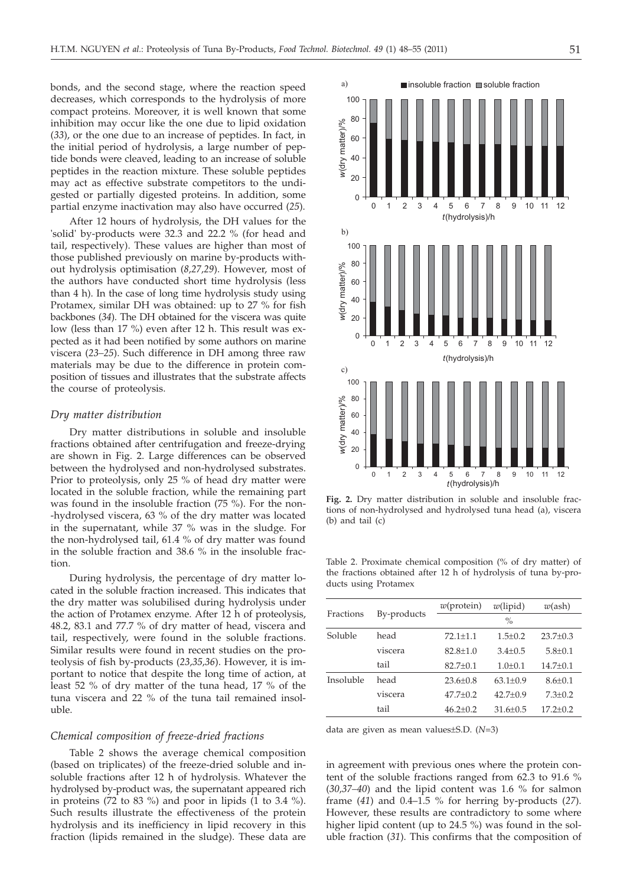bonds, and the second stage, where the reaction speed decreases, which corresponds to the hydrolysis of more compact proteins. Moreover, it is well known that some inhibition may occur like the one due to lipid oxidation (*33*), or the one due to an increase of peptides. In fact, in the initial period of hydrolysis, a large number of peptide bonds were cleaved, leading to an increase of soluble peptides in the reaction mixture. These soluble peptides may act as effective substrate competitors to the undigested or partially digested proteins. In addition, some partial enzyme inactivation may also have occurred (*25*).

After 12 hours of hydrolysis, the DH values for the 'solid' by-products were 32.3 and 22.2 % (for head and tail, respectively). These values are higher than most of those published previously on marine by-products without hydrolysis optimisation (*8,27,29*). However, most of the authors have conducted short time hydrolysis (less than 4 h). In the case of long time hydrolysis study using Protamex, similar DH was obtained: up to 27 % for fish backbones (*34*). The DH obtained for the viscera was quite low (less than 17 %) even after 12 h. This result was expected as it had been notified by some authors on marine viscera (*23–25*). Such difference in DH among three raw materials may be due to the difference in protein composition of tissues and illustrates that the substrate affects the course of proteolysis.

## *Dry matter distribution*

Dry matter distributions in soluble and insoluble fractions obtained after centrifugation and freeze-drying are shown in Fig. 2. Large differences can be observed between the hydrolysed and non-hydrolysed substrates. Prior to proteolysis, only 25 % of head dry matter were located in the soluble fraction, while the remaining part was found in the insoluble fraction (75 %). For the non- -hydrolysed viscera, 63 % of the dry matter was located in the supernatant, while 37 % was in the sludge. For the non-hydrolysed tail, 61.4 % of dry matter was found in the soluble fraction and 38.6 % in the insoluble fraction.

During hydrolysis, the percentage of dry matter located in the soluble fraction increased. This indicates that the dry matter was solubilised during hydrolysis under the action of Protamex enzyme. After 12 h of proteolysis, 48.2, 83.1 and 77.7 % of dry matter of head, viscera and tail, respectively, were found in the soluble fractions. Similar results were found in recent studies on the proteolysis of fish by-products (*23,35,36*). However, it is important to notice that despite the long time of action, at least 52 % of dry matter of the tuna head, 17 % of the tuna viscera and 22 % of the tuna tail remained insoluble.

# *Chemical composition of freeze-dried fractions*

Table 2 shows the average chemical composition (based on triplicates) of the freeze-dried soluble and insoluble fractions after 12 h of hydrolysis. Whatever the hydrolysed by-product was, the supernatant appeared rich in proteins (72 to 83 %) and poor in lipids (1 to 3.4 %). Such results illustrate the effectiveness of the protein hydrolysis and its inefficiency in lipid recovery in this fraction (lipids remained in the sludge). These data are



**Fig. 2.** Dry matter distribution in soluble and insoluble fractions of non-hydrolysed and hydrolysed tuna head (a), viscera (b) and tail (c)

Table 2. Proximate chemical composition (% of dry matter) of the fractions obtained after 12 h of hydrolysis of tuna by-products using Protamex

|           | By-products | $w$ (protein) | $w$ (lipid)  | $w(\text{ash})$ |
|-----------|-------------|---------------|--------------|-----------------|
| Fractions |             | $\frac{0}{0}$ |              |                 |
| Soluble   | head        | $72.1 + 1.1$  | $1.5 + 0.2$  | $23.7 \pm 0.3$  |
|           | viscera     | $82.8 + 1.0$  | $3.4 + 0.5$  | $5.8 + 0.1$     |
|           | tail        | $82.7+0.1$    | $1.0 + 0.1$  | $14.7 \pm 0.1$  |
| Insoluble | head        | $23.6 + 0.8$  | $63.1 + 0.9$ | $8.6 + 0.1$     |
|           | viscera     | $47.7 + 0.2$  | $42.7 + 0.9$ | $7.3 \pm 0.2$   |
|           | tail        | $46.2 + 0.2$  | $31.6 + 0.5$ | $17.2 + 0.2$    |
|           |             |               |              |                 |

data are given as mean values±S.D. (*N*=3)

in agreement with previous ones where the protein content of the soluble fractions ranged from 62.3 to 91.6 % (*30,37–40*) and the lipid content was 1.6 % for salmon frame (*41*) and 0.4–1.5 % for herring by-products (*27*). However, these results are contradictory to some where higher lipid content (up to 24.5 %) was found in the soluble fraction (*31*). This confirms that the composition of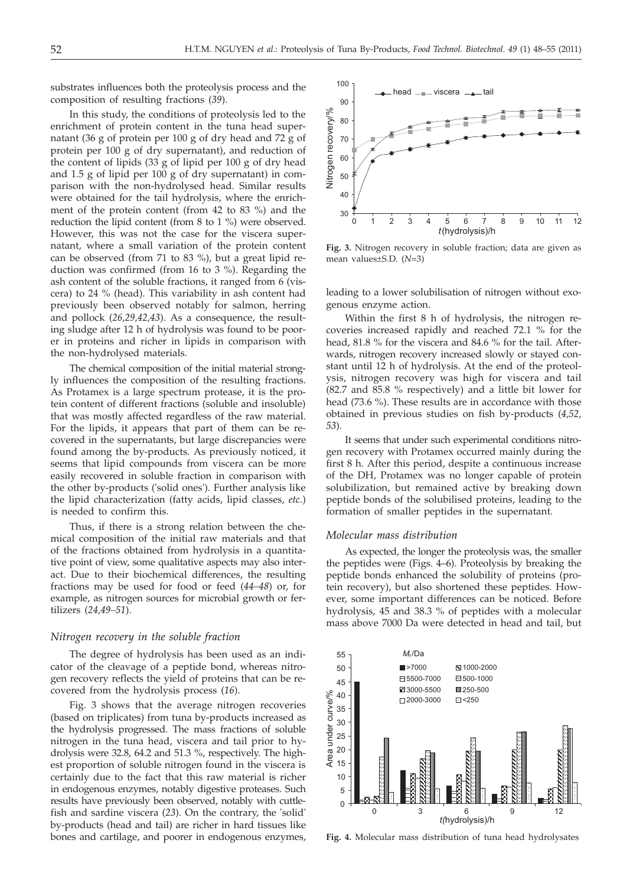substrates influences both the proteolysis process and the composition of resulting fractions (*39*).

In this study, the conditions of proteolysis led to the enrichment of protein content in the tuna head supernatant (36 g of protein per 100 g of dry head and 72 g of protein per 100 g of dry supernatant), and reduction of the content of lipids (33 g of lipid per 100 g of dry head and 1.5 g of lipid per 100 g of dry supernatant) in comparison with the non-hydrolysed head. Similar results were obtained for the tail hydrolysis, where the enrichment of the protein content (from 42 to 83 %) and the reduction the lipid content (from 8 to 1 %) were observed. However, this was not the case for the viscera supernatant, where a small variation of the protein content can be observed (from 71 to 83 %), but a great lipid reduction was confirmed (from 16 to 3 %). Regarding the ash content of the soluble fractions, it ranged from 6 (viscera) to 24 % (head). This variability in ash content had previously been observed notably for salmon, herring and pollock (*26,29,42,43*). As a consequence, the resulting sludge after 12 h of hydrolysis was found to be poorer in proteins and richer in lipids in comparison with the non-hydrolysed materials.

The chemical composition of the initial material strongly influences the composition of the resulting fractions. As Protamex is a large spectrum protease, it is the protein content of different fractions (soluble and insoluble) that was mostly affected regardless of the raw material. For the lipids, it appears that part of them can be recovered in the supernatants, but large discrepancies were found among the by-products. As previously noticed, it seems that lipid compounds from viscera can be more easily recovered in soluble fraction in comparison with the other by-products ('solid ones'). Further analysis like the lipid characterization (fatty acids, lipid classes, *etc*.) is needed to confirm this.

Thus, if there is a strong relation between the chemical composition of the initial raw materials and that of the fractions obtained from hydrolysis in a quantitative point of view, some qualitative aspects may also interact. Due to their biochemical differences, the resulting fractions may be used for food or feed (*44–48*) or, for example, as nitrogen sources for microbial growth or fertilizers (*24,49–51*).

## *Nitrogen recovery in the soluble fraction*

The degree of hydrolysis has been used as an indicator of the cleavage of a peptide bond, whereas nitrogen recovery reflects the yield of proteins that can be recovered from the hydrolysis process (*16*).

Fig. 3 shows that the average nitrogen recoveries (based on triplicates) from tuna by-products increased as the hydrolysis progressed. The mass fractions of soluble nitrogen in the tuna head, viscera and tail prior to hydrolysis were 32.8, 64.2 and 51.3 %, respectively. The highest proportion of soluble nitrogen found in the viscera is certainly due to the fact that this raw material is richer in endogenous enzymes, notably digestive proteases. Such results have previously been observed, notably with cuttlefish and sardine viscera (*23*). On the contrary, the 'solid' by-products (head and tail) are richer in hard tissues like bones and cartilage, and poorer in endogenous enzymes,



**Fig. 3.** Nitrogen recovery in soluble fraction; data are given as mean values±S.D. (*N*=3)

leading to a lower solubilisation of nitrogen without exogenous enzyme action.

Within the first 8 h of hydrolysis, the nitrogen recoveries increased rapidly and reached 72.1 % for the head, 81.8 % for the viscera and 84.6 % for the tail. Afterwards, nitrogen recovery increased slowly or stayed constant until 12 h of hydrolysis. At the end of the proteolysis, nitrogen recovery was high for viscera and tail (82.7 and 85.8 % respectively) and a little bit lower for head (73.6 %). These results are in accordance with those obtained in previous studies on fish by-products (*4,52, 53*).

It seems that under such experimental conditions nitrogen recovery with Protamex occurred mainly during the first 8 h. After this period, despite a continuous increase of the DH, Protamex was no longer capable of protein solubilization, but remained active by breaking down peptide bonds of the solubilised proteins, leading to the formation of smaller peptides in the supernatant.

## *Molecular mass distribution*

As expected, the longer the proteolysis was, the smaller the peptides were (Figs. 4–6). Proteolysis by breaking the peptide bonds enhanced the solubility of proteins (protein recovery), but also shortened these peptides. However, some important differences can be noticed. Before hydrolysis, 45 and 38.3 % of peptides with a molecular mass above 7000 Da were detected in head and tail, but



**Fig. 4.** Molecular mass distribution of tuna head hydrolysates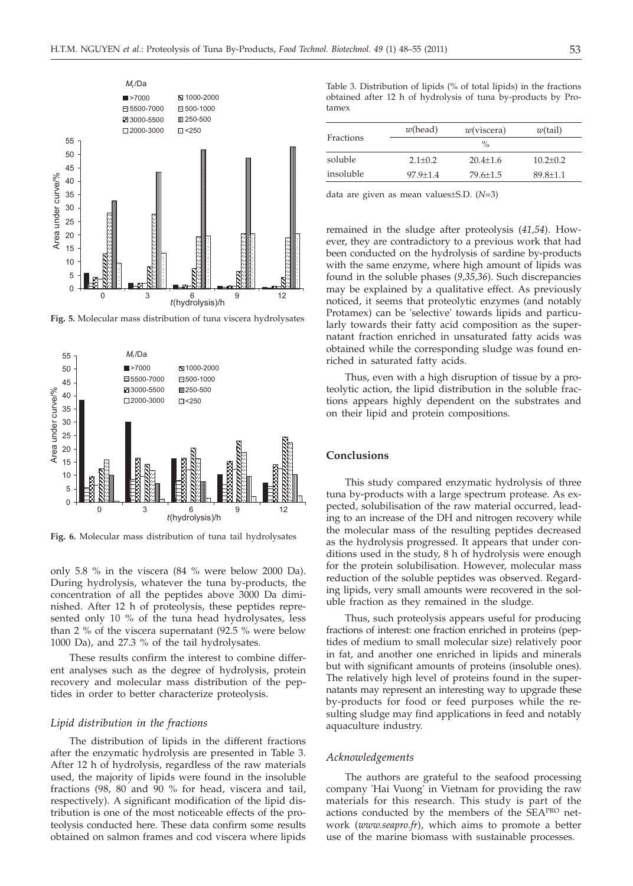

**Fig. 5.** Molecular mass distribution of tuna viscera hydrolysates



**Fig. 6.** Molecular mass distribution of tuna tail hydrolysates

only 5.8 % in the viscera (84 % were below 2000 Da). During hydrolysis, whatever the tuna by-products, the concentration of all the peptides above 3000 Da diminished. After 12 h of proteolysis, these peptides represented only 10 % of the tuna head hydrolysates, less than 2 % of the viscera supernatant (92.5 % were below 1000 Da), and 27.3 % of the tail hydrolysates.

These results confirm the interest to combine different analyses such as the degree of hydrolysis, protein recovery and molecular mass distribution of the peptides in order to better characterize proteolysis.

## *Lipid distribution in the fractions*

The distribution of lipids in the different fractions after the enzymatic hydrolysis are presented in Table 3. After 12 h of hydrolysis, regardless of the raw materials used, the majority of lipids were found in the insoluble fractions (98, 80 and 90 % for head, viscera and tail, respectively). A significant modification of the lipid distribution is one of the most noticeable effects of the proteolysis conducted here. These data confirm some results obtained on salmon frames and cod viscera where lipids

Table 3. Distribution of lipids (% of total lipids) in the fractions obtained after 12 h of hydrolysis of tuna by-products by Protamex

| Fractions | $w$ (head)         | w(viscera)     | w(tail)      |  |
|-----------|--------------------|----------------|--------------|--|
|           | $\frac{0}{\alpha}$ |                |              |  |
| soluble   | $2.1 + 0.2$        | $20.4 + 1.6$   | $10.2 + 0.2$ |  |
| insoluble | $97.9 + 1.4$       | $79.6 \pm 1.5$ | $89.8 + 1.1$ |  |
|           |                    |                |              |  |

data are given as mean values±S.D. (*N*=3)

remained in the sludge after proteolysis (*41,54*). However, they are contradictory to a previous work that had been conducted on the hydrolysis of sardine by-products with the same enzyme, where high amount of lipids was found in the soluble phases (*9,35,36*). Such discrepancies may be explained by a qualitative effect. As previously noticed, it seems that proteolytic enzymes (and notably Protamex) can be 'selective' towards lipids and particularly towards their fatty acid composition as the supernatant fraction enriched in unsaturated fatty acids was obtained while the corresponding sludge was found enriched in saturated fatty acids.

Thus, even with a high disruption of tissue by a proteolytic action, the lipid distribution in the soluble fractions appears highly dependent on the substrates and on their lipid and protein compositions.

## **Conclusions**

This study compared enzymatic hydrolysis of three tuna by-products with a large spectrum protease. As expected, solubilisation of the raw material occurred, leading to an increase of the DH and nitrogen recovery while the molecular mass of the resulting peptides decreased as the hydrolysis progressed. It appears that under conditions used in the study, 8 h of hydrolysis were enough for the protein solubilisation. However, molecular mass reduction of the soluble peptides was observed. Regarding lipids, very small amounts were recovered in the soluble fraction as they remained in the sludge.

Thus, such proteolysis appears useful for producing fractions of interest: one fraction enriched in proteins (peptides of medium to small molecular size) relatively poor in fat, and another one enriched in lipids and minerals but with significant amounts of proteins (insoluble ones). The relatively high level of proteins found in the supernatants may represent an interesting way to upgrade these by-products for food or feed purposes while the resulting sludge may find applications in feed and notably aquaculture industry.

#### *Acknowledgements*

The authors are grateful to the seafood processing company 'Hai Vuong' in Vietnam for providing the raw materials for this research. This study is part of the actions conducted by the members of the SEAPRO network (*www.seapro.fr*), which aims to promote a better use of the marine biomass with sustainable processes.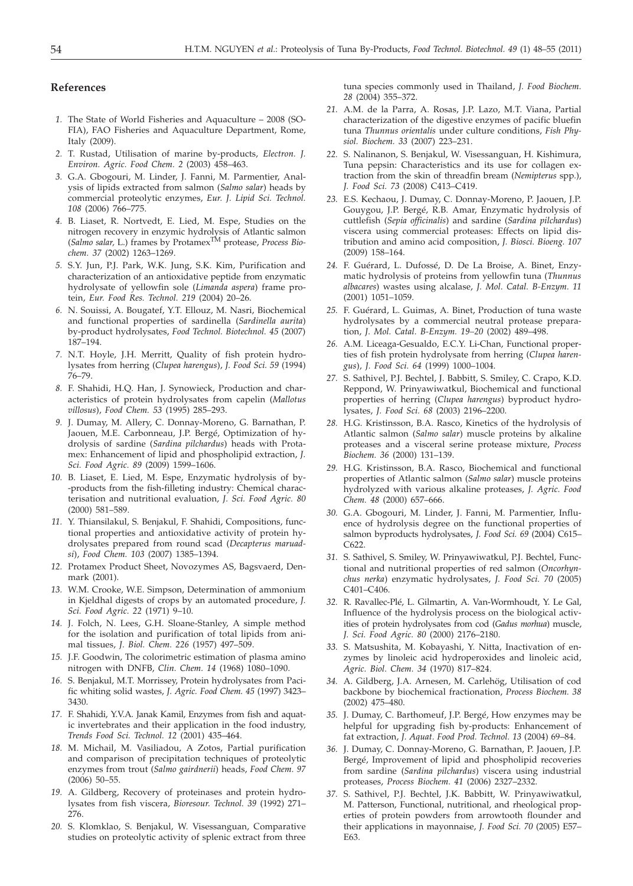# **References**

- *1.* The State of World Fisheries and Aquaculture 2008 (SO-FIA), FAO Fisheries and Aquaculture Department, Rome, Italy (2009).
- *2.* T. Rustad, Utilisation of marine by-products, *Electron. J. Environ. Agric. Food Chem. 2* (2003) 458–463.
- *3.* G.A. Gbogouri, M. Linder, J. Fanni, M. Parmentier, Analysis of lipids extracted from salmon (*Salmo salar*) heads by commercial proteolytic enzymes, *Eur. J. Lipid Sci. Technol. 108* (2006) 766–775.
- *4.* B. Liaset, R. Nortvedt, E. Lied, M. Espe, Studies on the nitrogen recovery in enzymic hydrolysis of Atlantic salmon (*Salmo salar,* L.) frames by ProtamexTM protease, *Process Biochem. 37* (2002) 1263–1269.
- *5.* S.Y. Jun, P.J. Park, W.K. Jung, S.K. Kim, Purification and characterization of an antioxidative peptide from enzymatic hydrolysate of yellowfin sole (*Limanda aspera*) frame protein, *Eur. Food Res. Technol. 219* (2004) 20–26.
- *6.* N. Souissi, A. Bougatef, Y.T. Ellouz, M. Nasri, Biochemical and functional properties of sardinella (*Sardinella aurita*) by-product hydrolysates, *Food Technol. Biotechnol. 45* (2007) 187–194.
- *7.* N.T. Hoyle, J.H. Merritt, Quality of fish protein hydrolysates from herring (*Clupea harengus*), *J. Food Sci. 59* (1994) 76–79.
- *8.* F. Shahidi, H.Q. Han, J. Synowieck, Production and characteristics of protein hydrolysates from capelin (*Mallotus villosus*), *Food Chem. 53* (1995) 285–293.
- *9.* J. Dumay, M. Allery, C. Donnay-Moreno, G. Barnathan, P. Jaouen, M.E. Carbonneau, J.P. Bergé, Optimization of hydrolysis of sardine (*Sardina pilchardus*) heads with Protamex: Enhancement of lipid and phospholipid extraction, *J. Sci. Food Agric. 89* (2009) 1599–1606.
- *10.* B. Liaset, E. Lied, M. Espe, Enzymatic hydrolysis of by- -products from the fish-filleting industry: Chemical characterisation and nutritional evaluation, *J. Sci. Food Agric. 80* (2000) 581–589.
- *11.* Y. Thiansilakul, S. Benjakul, F. Shahidi, Compositions, functional properties and antioxidative activity of protein hydrolysates prepared from round scad (*Decapterus maruadsi*), *Food Chem. 103* (2007) 1385–1394.
- *12.* Protamex Product Sheet, Novozymes AS, Bagsvaerd, Denmark (2001).
- *13.* W.M. Crooke, W.E. Simpson, Determination of ammonium in Kjeldhal digests of crops by an automated procedure, *J. Sci. Food Agric. 22* (1971) 9–10.
- *14.* J. Folch, N. Lees, G.H. Sloane-Stanley, A simple method for the isolation and purification of total lipids from animal tissues, *J. Biol. Chem. 226* (1957) 497–509.
- *15.* J.F. Goodwin, The colorimetric estimation of plasma amino nitrogen with DNFB, *Clin. Chem. 14* (1968) 1080–1090.
- *16.* S. Benjakul, M.T. Morrissey, Protein hydrolysates from Pacific whiting solid wastes, *J. Agric. Food Chem. 45* (1997) 3423– 3430.
- *17.* F. Shahidi, Y.V.A. Janak Kamil, Enzymes from fish and aquatic invertebrates and their application in the food industry, *Trends Food Sci. Technol. 12* (2001) 435–464.
- *18.* M. Michail, M. Vasiliadou, A Zotos, Partial purification and comparison of precipitation techniques of proteolytic enzymes from trout (*Salmo gairdnerii*) heads, *Food Chem. 97* (2006) 50–55.
- *19.* A. Gildberg, Recovery of proteinases and protein hydrolysates from fish viscera, *Bioresour. Technol. 39* (1992) 271– 276.
- *20.* S. Klomklao, S. Benjakul, W. Visessanguan, Comparative studies on proteolytic activity of splenic extract from three

tuna species commonly used in Thailand, *J. Food Biochem. 28* (2004) 355–372.

- *21.* A.M. de la Parra, A. Rosas, J.P. Lazo, M.T. Viana, Partial characterization of the digestive enzymes of pacific bluefin tuna *Thunnus orientalis* under culture conditions, *Fish Physiol. Biochem. 33* (2007) 223–231.
- *22.* S. Nalinanon, S. Benjakul, W. Visessanguan, H. Kishimura, Tuna pepsin: Characteristics and its use for collagen extraction from the skin of threadfin bream (*Nemipterus* spp*.*), *J. Food Sci. 73* (2008) C413–C419.
- *23.* E.S. Kechaou, J. Dumay, C. Donnay-Moreno, P. Jaouen, J.P. Gouygou, J.P. Bergé, R.B. Amar, Enzymatic hydrolysis of cuttlefish (*Sepia officinalis*) and sardine (*Sardina pilchardus*) viscera using commercial proteases: Effects on lipid distribution and amino acid composition, *J. Biosci. Bioeng. 107* (2009) 158–164.
- *24.* F. Guérard, L. Dufossé, D. De La Broise, A. Binet, Enzymatic hydrolysis of proteins from yellowfin tuna (*Thunnus albacares*) wastes using alcalase, *J. Mol. Catal. B-Enzym. 11* (2001) 1051–1059.
- *25.* F. Guérard, L. Guimas, A. Binet, Production of tuna waste hydrolysates by a commercial neutral protease preparation, *J. Mol. Catal. B-Enzym. 19–20* (2002) 489–498.
- *26.* A.M. Liceaga-Gesualdo, E.C.Y. Li-Chan, Functional properties of fish protein hydrolysate from herring (*Clupea harengus*), *J. Food Sci. 64* (1999) 1000–1004.
- *27.* S. Sathivel, P.J. Bechtel, J. Babbitt, S. Smiley, C. Crapo, K.D. Reppond, W. Prinyawiwatkul, Biochemical and functional properties of herring (*Clupea harengus*) byproduct hydrolysates, *J. Food Sci. 68* (2003) 2196–2200.
- *28.* H.G. Kristinsson, B.A. Rasco, Kinetics of the hydrolysis of Atlantic salmon (*Salmo salar*) muscle proteins by alkaline proteases and a visceral serine protease mixture, *Process Biochem. 36* (2000) 131–139.
- *29.* H.G. Kristinsson, B.A. Rasco, Biochemical and functional properties of Atlantic salmon (*Salmo salar*) muscle proteins hydrolyzed with various alkaline proteases, *J. Agric. Food Chem. 48* (2000) 657–666.
- *30.* G.A. Gbogouri, M. Linder, J. Fanni, M. Parmentier, Influence of hydrolysis degree on the functional properties of salmon byproducts hydrolysates, *J. Food Sci. 69* (2004) C615– C622.
- *31.* S. Sathivel, S. Smiley, W. Prinyawiwatkul, P.J. Bechtel, Functional and nutritional properties of red salmon (*Oncorhynchus nerka*) enzymatic hydrolysates, *J. Food Sci. 70* (2005) C401–C406.
- *32.* R. Ravallec-Plé, L. Gilmartin, A. Van-Wormhoudt, Y. Le Gal, Influence of the hydrolysis process on the biological activities of protein hydrolysates from cod (*Gadus morhua*) muscle, *J. Sci. Food Agric. 80* (2000) 2176–2180.
- *33.* S. Matsushita, M. Kobayashi, Y. Nitta, Inactivation of enzymes by linoleic acid hydroperoxides and linoleic acid, *Agric. Biol. Chem. 34* (1970) 817–824.
- *34.* A. Gildberg, J.A. Arnesen, M. Carlehög, Utilisation of cod backbone by biochemical fractionation, *Process Biochem. 38* (2002) 475–480.
- *35.* J. Dumay, C. Barthomeuf, J.P. Bergé, How enzymes may be helpful for upgrading fish by-products: Enhancement of fat extraction, *J. Aquat. Food Prod. Technol. 13* (2004) 69–84.
- *36.* J. Dumay, C. Donnay-Moreno, G. Barnathan, P. Jaouen, J.P. Bergé, Improvement of lipid and phospholipid recoveries from sardine (*Sardina pilchardus*) viscera using industrial proteases, *Process Biochem. 41* (2006) 2327–2332.
- *37.* S. Sathivel, P.J. Bechtel, J.K. Babbitt, W. Prinyawiwatkul, M. Patterson, Functional, nutritional, and rheological properties of protein powders from arrowtooth flounder and their applications in mayonnaise, *J. Food Sci. 70* (2005) E57– E63.